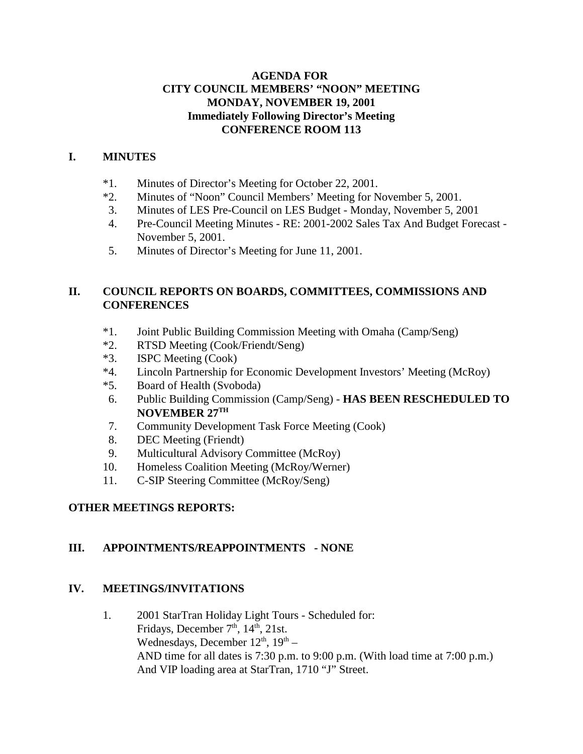#### **AGENDA FOR CITY COUNCIL MEMBERS' "NOON" MEETING MONDAY, NOVEMBER 19, 2001 Immediately Following Director's Meeting CONFERENCE ROOM 113**

### **I. MINUTES**

- \*1. Minutes of Director's Meeting for October 22, 2001.
- \*2. Minutes of "Noon" Council Members' Meeting for November 5, 2001.
- 3. Minutes of LES Pre-Council on LES Budget Monday, November 5, 2001
- 4. Pre-Council Meeting Minutes RE: 2001-2002 Sales Tax And Budget Forecast November 5, 2001.
- 5. Minutes of Director's Meeting for June 11, 2001.

## **II. COUNCIL REPORTS ON BOARDS, COMMITTEES, COMMISSIONS AND CONFERENCES**

- \*1. Joint Public Building Commission Meeting with Omaha (Camp/Seng)
- \*2. RTSD Meeting (Cook/Friendt/Seng)
- \*3. ISPC Meeting (Cook)
- \*4. Lincoln Partnership for Economic Development Investors' Meeting (McRoy)
- \*5. Board of Health (Svoboda)
- 6. Public Building Commission (Camp/Seng) **HAS BEEN RESCHEDULED TO NOVEMBER 27TH**
- 7. Community Development Task Force Meeting (Cook)
- 8. DEC Meeting (Friendt)
- 9. Multicultural Advisory Committee (McRoy)
- 10. Homeless Coalition Meeting (McRoy/Werner)
- 11. C-SIP Steering Committee (McRoy/Seng)

## **OTHER MEETINGS REPORTS:**

## **III. APPOINTMENTS/REAPPOINTMENTS - NONE**

#### **IV. MEETINGS/INVITATIONS**

1. 2001 StarTran Holiday Light Tours - Scheduled for: Fridays, December  $7<sup>th</sup>$ ,  $14<sup>th</sup>$ ,  $21st$ . Wednesdays, December  $12^{th}$ ,  $19^{th}$  – AND time for all dates is 7:30 p.m. to 9:00 p.m. (With load time at 7:00 p.m.) And VIP loading area at StarTran, 1710 "J" Street.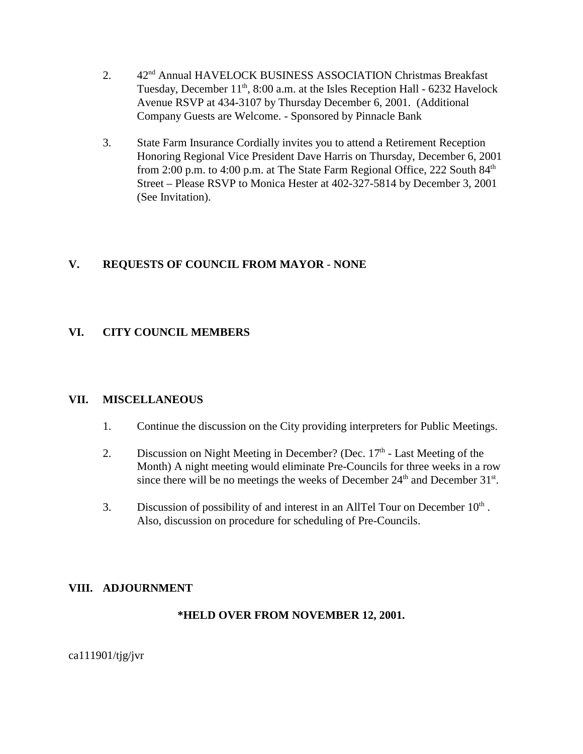- 2. 42<sup>nd</sup> Annual HAVELOCK BUSINESS ASSOCIATION Christmas Breakfast Tuesday, December  $11<sup>th</sup>$ , 8:00 a.m. at the Isles Reception Hall - 6232 Havelock Avenue RSVP at 434-3107 by Thursday December 6, 2001. (Additional Company Guests are Welcome. - Sponsored by Pinnacle Bank
- 3. State Farm Insurance Cordially invites you to attend a Retirement Reception Honoring Regional Vice President Dave Harris on Thursday, December 6, 2001 from 2:00 p.m. to 4:00 p.m. at The State Farm Regional Office, 222 South 84<sup>th</sup> Street – Please RSVP to Monica Hester at 402-327-5814 by December 3, 2001 (See Invitation).

## **V. REQUESTS OF COUNCIL FROM MAYOR** - **NONE**

#### **VI. CITY COUNCIL MEMBERS**

#### **VII. MISCELLANEOUS**

- 1. Continue the discussion on the City providing interpreters for Public Meetings.
- 2. Discussion on Night Meeting in December? (Dec.  $17<sup>th</sup>$  Last Meeting of the Month) A night meeting would eliminate Pre-Councils for three weeks in a row since there will be no meetings the weeks of December  $24<sup>th</sup>$  and December  $31<sup>st</sup>$ .
- 3. Discussion of possibility of and interest in an AllTel Tour on December  $10<sup>th</sup>$ . Also, discussion on procedure for scheduling of Pre-Councils.

#### **VIII. ADJOURNMENT**

#### **\*HELD OVER FROM NOVEMBER 12, 2001.**

 $ca111901/tig/ivr$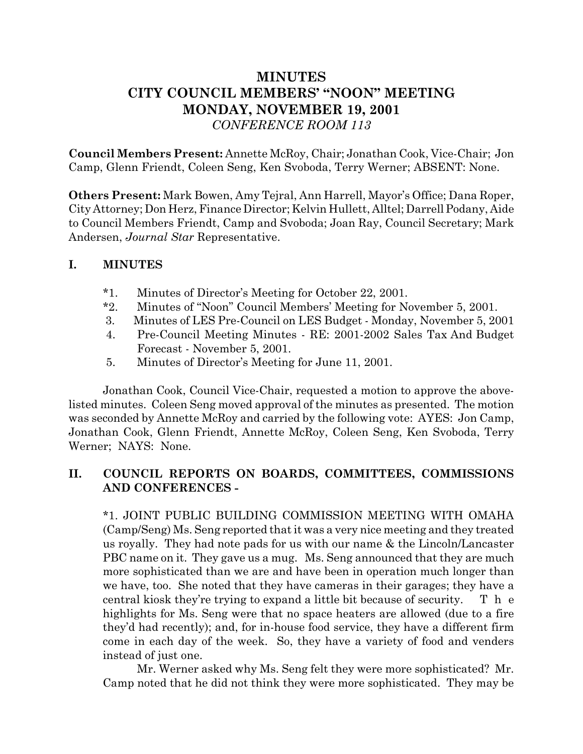# **MINUTES CITY COUNCIL MEMBERS' "NOON" MEETING MONDAY, NOVEMBER 19, 2001** *CONFERENCE ROOM 113*

**Council Members Present:** Annette McRoy, Chair; Jonathan Cook, Vice-Chair; Jon Camp, Glenn Friendt, Coleen Seng, Ken Svoboda, Terry Werner; ABSENT: None.

**Others Present:** Mark Bowen, Amy Tejral, Ann Harrell, Mayor's Office; Dana Roper, City Attorney; Don Herz, Finance Director; Kelvin Hullett, Alltel; Darrell Podany, Aide to Council Members Friendt, Camp and Svoboda; Joan Ray, Council Secretary; Mark Andersen, *Journal Star* Representative.

## **I. MINUTES**

- \*1. Minutes of Director's Meeting for October 22, 2001.
- \*2. Minutes of "Noon" Council Members' Meeting for November 5, 2001.
- 3. Minutes of LES Pre-Council on LES Budget Monday, November 5, 2001
- 4. Pre-Council Meeting Minutes RE: 2001-2002 Sales Tax And Budget Forecast - November 5, 2001.
- 5. Minutes of Director's Meeting for June 11, 2001.

Jonathan Cook, Council Vice-Chair, requested a motion to approve the abovelisted minutes. Coleen Seng moved approval of the minutes as presented. The motion was seconded by Annette McRoy and carried by the following vote: AYES: Jon Camp, Jonathan Cook, Glenn Friendt, Annette McRoy, Coleen Seng, Ken Svoboda, Terry Werner; NAYS: None.

## **II. COUNCIL REPORTS ON BOARDS, COMMITTEES, COMMISSIONS AND CONFERENCES -**

\*1. JOINT PUBLIC BUILDING COMMISSION MEETING WITH OMAHA (Camp/Seng) Ms. Seng reported that it was a very nice meeting and they treated us royally. They had note pads for us with our name & the Lincoln/Lancaster PBC name on it. They gave us a mug. Ms. Seng announced that they are much more sophisticated than we are and have been in operation much longer than we have, too. She noted that they have cameras in their garages; they have a central kiosk they're trying to expand a little bit because of security. T h e highlights for Ms. Seng were that no space heaters are allowed (due to a fire they'd had recently); and, for in-house food service, they have a different firm come in each day of the week. So, they have a variety of food and venders instead of just one.

Mr. Werner asked why Ms. Seng felt they were more sophisticated? Mr. Camp noted that he did not think they were more sophisticated. They may be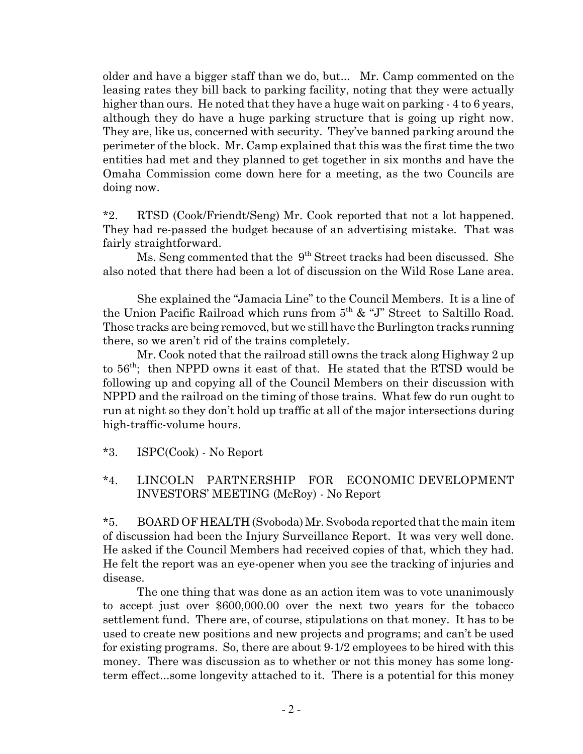older and have a bigger staff than we do, but... Mr. Camp commented on the leasing rates they bill back to parking facility, noting that they were actually higher than ours. He noted that they have a huge wait on parking  $-4$  to 6 years, although they do have a huge parking structure that is going up right now. They are, like us, concerned with security. They've banned parking around the perimeter of the block. Mr. Camp explained that this was the first time the two entities had met and they planned to get together in six months and have the Omaha Commission come down here for a meeting, as the two Councils are doing now.

\*2. RTSD (Cook/Friendt/Seng) Mr. Cook reported that not a lot happened. They had re-passed the budget because of an advertising mistake. That was fairly straightforward.

Ms. Seng commented that the 9<sup>th</sup> Street tracks had been discussed. She also noted that there had been a lot of discussion on the Wild Rose Lane area.

She explained the "Jamacia Line" to the Council Members. It is a line of the Union Pacific Railroad which runs from  $5<sup>th</sup>$  & "J" Street to Saltillo Road. Those tracks are being removed, but we still have the Burlington tracks running there, so we aren't rid of the trains completely.

Mr. Cook noted that the railroad still owns the track along Highway 2 up to  $56<sup>th</sup>$ ; then NPPD owns it east of that. He stated that the RTSD would be following up and copying all of the Council Members on their discussion with NPPD and the railroad on the timing of those trains. What few do run ought to run at night so they don't hold up traffic at all of the major intersections during high-traffic-volume hours.

\*3. ISPC(Cook) - No Report

## \*4. LINCOLN PARTNERSHIP FOR ECONOMIC DEVELOPMENT INVESTORS' MEETING (McRoy) - No Report

\*5. BOARD OF HEALTH (Svoboda) Mr. Svoboda reported that the main item of discussion had been the Injury Surveillance Report. It was very well done. He asked if the Council Members had received copies of that, which they had. He felt the report was an eye-opener when you see the tracking of injuries and disease.

The one thing that was done as an action item was to vote unanimously to accept just over \$600,000.00 over the next two years for the tobacco settlement fund. There are, of course, stipulations on that money. It has to be used to create new positions and new projects and programs; and can't be used for existing programs. So, there are about 9-1/2 employees to be hired with this money. There was discussion as to whether or not this money has some longterm effect...some longevity attached to it. There is a potential for this money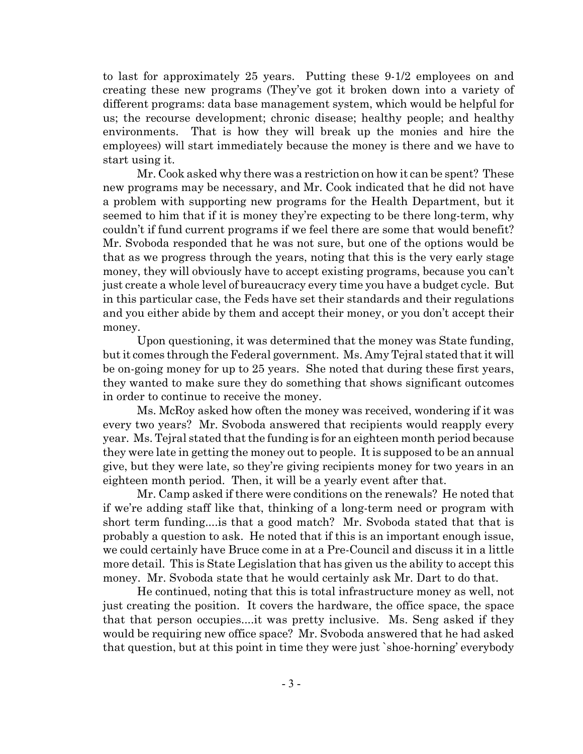to last for approximately 25 years. Putting these 9-1/2 employees on and creating these new programs (They've got it broken down into a variety of different programs: data base management system, which would be helpful for us; the recourse development; chronic disease; healthy people; and healthy environments. That is how they will break up the monies and hire the employees) will start immediately because the money is there and we have to start using it.

Mr. Cook asked why there was a restriction on how it can be spent? These new programs may be necessary, and Mr. Cook indicated that he did not have a problem with supporting new programs for the Health Department, but it seemed to him that if it is money they're expecting to be there long-term, why couldn't if fund current programs if we feel there are some that would benefit? Mr. Svoboda responded that he was not sure, but one of the options would be that as we progress through the years, noting that this is the very early stage money, they will obviously have to accept existing programs, because you can't just create a whole level of bureaucracy every time you have a budget cycle. But in this particular case, the Feds have set their standards and their regulations and you either abide by them and accept their money, or you don't accept their money.

Upon questioning, it was determined that the money was State funding, but it comes through the Federal government. Ms. Amy Tejral stated that it will be on-going money for up to 25 years. She noted that during these first years, they wanted to make sure they do something that shows significant outcomes in order to continue to receive the money.

Ms. McRoy asked how often the money was received, wondering if it was every two years? Mr. Svoboda answered that recipients would reapply every year. Ms. Tejral stated that the funding is for an eighteen month period because they were late in getting the money out to people. It is supposed to be an annual give, but they were late, so they're giving recipients money for two years in an eighteen month period. Then, it will be a yearly event after that.

Mr. Camp asked if there were conditions on the renewals? He noted that if we're adding staff like that, thinking of a long-term need or program with short term funding....is that a good match? Mr. Svoboda stated that that is probably a question to ask. He noted that if this is an important enough issue, we could certainly have Bruce come in at a Pre-Council and discuss it in a little more detail. This is State Legislation that has given us the ability to accept this money. Mr. Svoboda state that he would certainly ask Mr. Dart to do that.

He continued, noting that this is total infrastructure money as well, not just creating the position. It covers the hardware, the office space, the space that that person occupies....it was pretty inclusive. Ms. Seng asked if they would be requiring new office space? Mr. Svoboda answered that he had asked that question, but at this point in time they were just `shoe-horning' everybody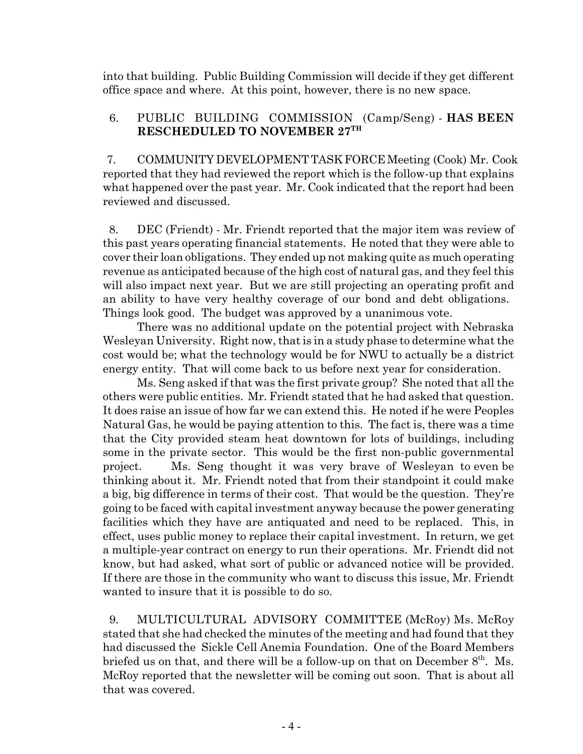into that building. Public Building Commission will decide if they get different office space and where. At this point, however, there is no new space.

### 6. PUBLIC BUILDING COMMISSION (Camp/Seng) - **HAS BEEN RESCHEDULED TO NOVEMBER 27TH**

7. COMMUNITY DEVELOPMENT TASK FORCE Meeting (Cook) Mr. Cook reported that they had reviewed the report which is the follow-up that explains what happened over the past year. Mr. Cook indicated that the report had been reviewed and discussed.

 8. DEC (Friendt) - Mr. Friendt reported that the major item was review of this past years operating financial statements. He noted that they were able to cover their loan obligations. They ended up not making quite as much operating revenue as anticipated because of the high cost of natural gas, and they feel this will also impact next year. But we are still projecting an operating profit and an ability to have very healthy coverage of our bond and debt obligations. Things look good. The budget was approved by a unanimous vote.

There was no additional update on the potential project with Nebraska Wesleyan University. Right now, that is in a study phase to determine what the cost would be; what the technology would be for NWU to actually be a district energy entity. That will come back to us before next year for consideration.

Ms. Seng asked if that was the first private group? She noted that all the others were public entities. Mr. Friendt stated that he had asked that question. It does raise an issue of how far we can extend this. He noted if he were Peoples Natural Gas, he would be paying attention to this. The fact is, there was a time that the City provided steam heat downtown for lots of buildings, including some in the private sector. This would be the first non-public governmental project. Ms. Seng thought it was very brave of Wesleyan to even be thinking about it. Mr. Friendt noted that from their standpoint it could make a big, big difference in terms of their cost. That would be the question. They're going to be faced with capital investment anyway because the power generating facilities which they have are antiquated and need to be replaced. This, in effect, uses public money to replace their capital investment. In return, we get a multiple-year contract on energy to run their operations. Mr. Friendt did not know, but had asked, what sort of public or advanced notice will be provided. If there are those in the community who want to discuss this issue, Mr. Friendt wanted to insure that it is possible to do so.

 9. MULTICULTURAL ADVISORY COMMITTEE (McRoy) Ms. McRoy stated that she had checked the minutes of the meeting and had found that they had discussed the Sickle Cell Anemia Foundation. One of the Board Members briefed us on that, and there will be a follow-up on that on December  $8<sup>th</sup>$ . Ms. McRoy reported that the newsletter will be coming out soon. That is about all that was covered.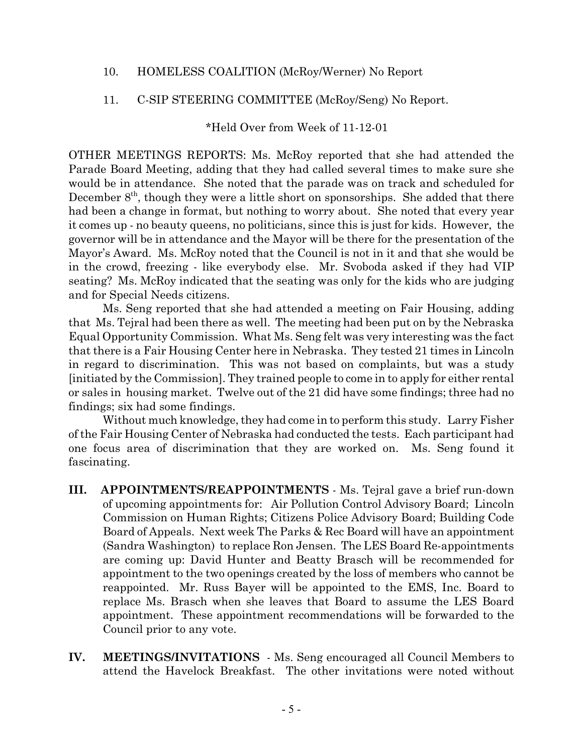### 10. HOMELESS COALITION (McRoy/Werner) No Report

#### 11. C-SIP STEERING COMMITTEE (McRoy/Seng) No Report.

\*Held Over from Week of 11-12-01

OTHER MEETINGS REPORTS: Ms. McRoy reported that she had attended the Parade Board Meeting, adding that they had called several times to make sure she would be in attendance. She noted that the parade was on track and scheduled for December  $8<sup>th</sup>$ , though they were a little short on sponsorships. She added that there had been a change in format, but nothing to worry about. She noted that every year it comes up - no beauty queens, no politicians, since this is just for kids. However, the governor will be in attendance and the Mayor will be there for the presentation of the Mayor's Award. Ms. McRoy noted that the Council is not in it and that she would be in the crowd, freezing - like everybody else. Mr. Svoboda asked if they had VIP seating? Ms. McRoy indicated that the seating was only for the kids who are judging and for Special Needs citizens.

Ms. Seng reported that she had attended a meeting on Fair Housing, adding that Ms. Tejral had been there as well. The meeting had been put on by the Nebraska Equal Opportunity Commission. What Ms. Seng felt was very interesting was the fact that there is a Fair Housing Center here in Nebraska. They tested 21 times in Lincoln in regard to discrimination. This was not based on complaints, but was a study [initiated by the Commission]. They trained people to come in to apply for either rental or sales in housing market. Twelve out of the 21 did have some findings; three had no findings; six had some findings.

Without much knowledge, they had come in to perform this study. Larry Fisher of the Fair Housing Center of Nebraska had conducted the tests. Each participant had one focus area of discrimination that they are worked on. Ms. Seng found it fascinating.

- **III. APPOINTMENTS/REAPPOINTMENTS** Ms. Tejral gave a brief run-down of upcoming appointments for: Air Pollution Control Advisory Board; Lincoln Commission on Human Rights; Citizens Police Advisory Board; Building Code Board of Appeals. Next week The Parks & Rec Board will have an appointment (Sandra Washington) to replace Ron Jensen. The LES Board Re-appointments are coming up: David Hunter and Beatty Brasch will be recommended for appointment to the two openings created by the loss of members who cannot be reappointed. Mr. Russ Bayer will be appointed to the EMS, Inc. Board to replace Ms. Brasch when she leaves that Board to assume the LES Board appointment. These appointment recommendations will be forwarded to the Council prior to any vote.
- **IV. MEETINGS/INVITATIONS**  Ms. Seng encouraged all Council Members to attend the Havelock Breakfast. The other invitations were noted without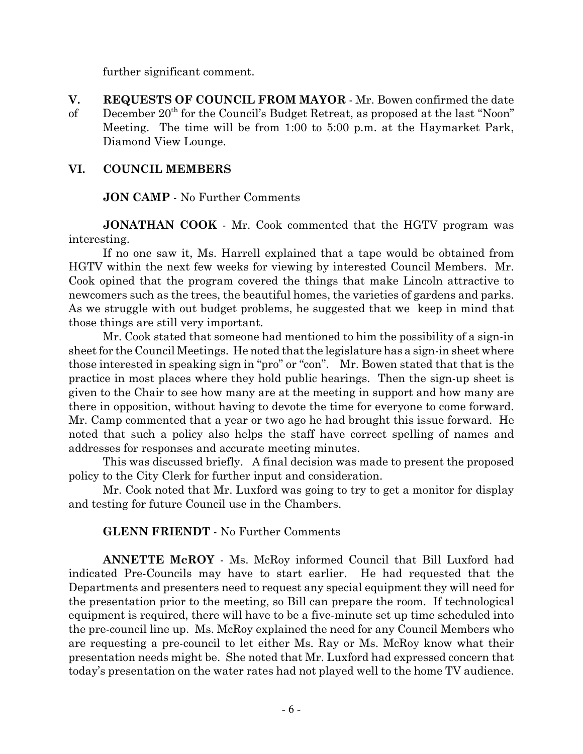further significant comment.

**V. REQUESTS OF COUNCIL FROM MAYOR** - Mr. Bowen confirmed the date of December 20th for the Council's Budget Retreat, as proposed at the last "Noon" Meeting. The time will be from 1:00 to 5:00 p.m. at the Haymarket Park, Diamond View Lounge.

### **VI. COUNCIL MEMBERS**

#### **JON CAMP** - No Further Comments

**JONATHAN COOK** - Mr. Cook commented that the HGTV program was interesting.

If no one saw it, Ms. Harrell explained that a tape would be obtained from HGTV within the next few weeks for viewing by interested Council Members. Mr. Cook opined that the program covered the things that make Lincoln attractive to newcomers such as the trees, the beautiful homes, the varieties of gardens and parks. As we struggle with out budget problems, he suggested that we keep in mind that those things are still very important.

Mr. Cook stated that someone had mentioned to him the possibility of a sign-in sheet for the Council Meetings. He noted that the legislature has a sign-in sheet where those interested in speaking sign in "pro" or "con". Mr. Bowen stated that that is the practice in most places where they hold public hearings. Then the sign-up sheet is given to the Chair to see how many are at the meeting in support and how many are there in opposition, without having to devote the time for everyone to come forward. Mr. Camp commented that a year or two ago he had brought this issue forward. He noted that such a policy also helps the staff have correct spelling of names and addresses for responses and accurate meeting minutes.

This was discussed briefly. A final decision was made to present the proposed policy to the City Clerk for further input and consideration.

Mr. Cook noted that Mr. Luxford was going to try to get a monitor for display and testing for future Council use in the Chambers.

#### **GLENN FRIENDT** - No Further Comments

**ANNETTE McROY** - Ms. McRoy informed Council that Bill Luxford had indicated Pre-Councils may have to start earlier. He had requested that the Departments and presenters need to request any special equipment they will need for the presentation prior to the meeting, so Bill can prepare the room. If technological equipment is required, there will have to be a five-minute set up time scheduled into the pre-council line up. Ms. McRoy explained the need for any Council Members who are requesting a pre-council to let either Ms. Ray or Ms. McRoy know what their presentation needs might be. She noted that Mr. Luxford had expressed concern that today's presentation on the water rates had not played well to the home TV audience.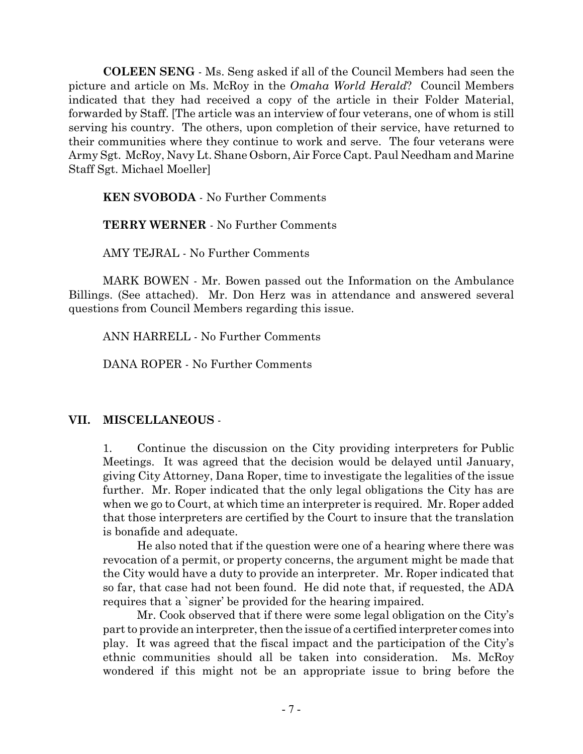**COLEEN SENG** - Ms. Seng asked if all of the Council Members had seen the picture and article on Ms. McRoy in the *Omaha World Herald*? Council Members indicated that they had received a copy of the article in their Folder Material, forwarded by Staff. [The article was an interview of four veterans, one of whom is still serving his country. The others, upon completion of their service, have returned to their communities where they continue to work and serve. The four veterans were Army Sgt. McRoy, Navy Lt. Shane Osborn, Air Force Capt. Paul Needham and Marine Staff Sgt. Michael Moeller]

**KEN SVOBODA** - No Further Comments

**TERRY WERNER** - No Further Comments

AMY TEJRAL - No Further Comments

MARK BOWEN - Mr. Bowen passed out the Information on the Ambulance Billings. (See attached). Mr. Don Herz was in attendance and answered several questions from Council Members regarding this issue.

ANN HARRELL - No Further Comments

DANA ROPER - No Further Comments

## **VII. MISCELLANEOUS** -

1. Continue the discussion on the City providing interpreters for Public Meetings. It was agreed that the decision would be delayed until January, giving City Attorney, Dana Roper, time to investigate the legalities of the issue further. Mr. Roper indicated that the only legal obligations the City has are when we go to Court, at which time an interpreter is required. Mr. Roper added that those interpreters are certified by the Court to insure that the translation is bonafide and adequate.

He also noted that if the question were one of a hearing where there was revocation of a permit, or property concerns, the argument might be made that the City would have a duty to provide an interpreter. Mr. Roper indicated that so far, that case had not been found. He did note that, if requested, the ADA requires that a `signer' be provided for the hearing impaired.

Mr. Cook observed that if there were some legal obligation on the City's part to provide an interpreter, then the issue of a certified interpreter comes into play. It was agreed that the fiscal impact and the participation of the City's ethnic communities should all be taken into consideration. Ms. McRoy wondered if this might not be an appropriate issue to bring before the